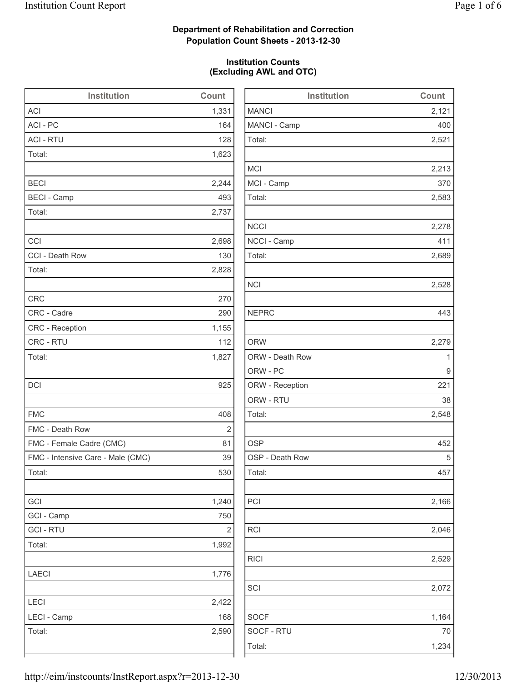## **Department of Rehabilitation and Correction Population Count Sheets - 2013-12-30**

### **Institution Counts (Excluding AWL and OTC)**

| Institution                       | <b>Count</b>   |              |
|-----------------------------------|----------------|--------------|
| <b>ACI</b>                        | 1,331          | <b>MANCI</b> |
| ACI - PC                          | 164            | MANCI - C    |
| <b>ACI - RTU</b>                  | 128            | Total:       |
| Total:                            | 1,623          |              |
|                                   |                | <b>MCI</b>   |
| <b>BECI</b>                       | 2,244          | MCI - Cam    |
| <b>BECI - Camp</b>                | 493            | Total:       |
| Total:                            | 2,737          |              |
|                                   |                | <b>NCCI</b>  |
| CCI                               | 2,698          | NCCI - Cal   |
| CCI - Death Row                   | 130            | Total:       |
| Total:                            | 2,828          |              |
|                                   |                | <b>NCI</b>   |
| <b>CRC</b>                        | 270            |              |
| CRC - Cadre                       | 290            | <b>NEPRC</b> |
| <b>CRC</b> - Reception            | 1,155          |              |
| CRC - RTU                         | 112            | <b>ORW</b>   |
| Total:                            | 1,827          | ORW - De     |
|                                   |                | ORW - PC     |
| <b>DCI</b>                        | 925            | ORW - Re     |
|                                   |                | ORW - RT     |
| <b>FMC</b>                        | 408            | Total:       |
| FMC - Death Row                   | $\overline{2}$ |              |
| FMC - Female Cadre (CMC)          | 81             | <b>OSP</b>   |
| FMC - Intensive Care - Male (CMC) | 39             | OSP - Dea    |
| Total:                            | 530            | Total:       |
|                                   |                |              |
| GCI                               | 1,240          | PCI          |
| GCI - Camp                        | 750            |              |
| <b>GCI-RTU</b>                    | 2              | <b>RCI</b>   |
| Total:                            | 1,992          |              |
|                                   |                | <b>RICI</b>  |
| <b>LAECI</b>                      | 1,776          |              |
|                                   |                | SCI          |
| <b>LECI</b>                       | 2,422          |              |
| LECI - Camp                       | 168            | <b>SOCF</b>  |
| Total:                            | 2,590          | SOCF - R1    |
|                                   |                | Total:       |
|                                   |                |              |

| <b>Institution</b> | Count |
|--------------------|-------|
| <b>MANCI</b>       | 2,121 |
| MANCI - Camp       | 400   |
| Total:             | 2,521 |
| <b>MCI</b>         | 2,213 |
| MCI - Camp         | 370   |
| Total:             | 2,583 |
| <b>NCCI</b>        | 2,278 |
| NCCI - Camp        | 411   |
| Total:             | 2,689 |
| <b>NCI</b>         | 2,528 |
| <b>NEPRC</b>       | 443   |
| <b>ORW</b>         | 2,279 |
| ORW - Death Row    | 1     |
| ORW - PC           | 9     |
| ORW - Reception    | 221   |
| ORW - RTU          | 38    |
| Total:             | 2,548 |
| <b>OSP</b>         | 452   |
| OSP - Death Row    | 5     |
| Total:             | 457   |
| PCI                | 2,166 |
| <b>RCI</b>         | 2,046 |
| <b>RICI</b>        | 2,529 |
| SCI                | 2,072 |
| <b>SOCF</b>        | 1,164 |
| SOCF - RTU         | 70    |
| Total:             | 1,234 |
|                    |       |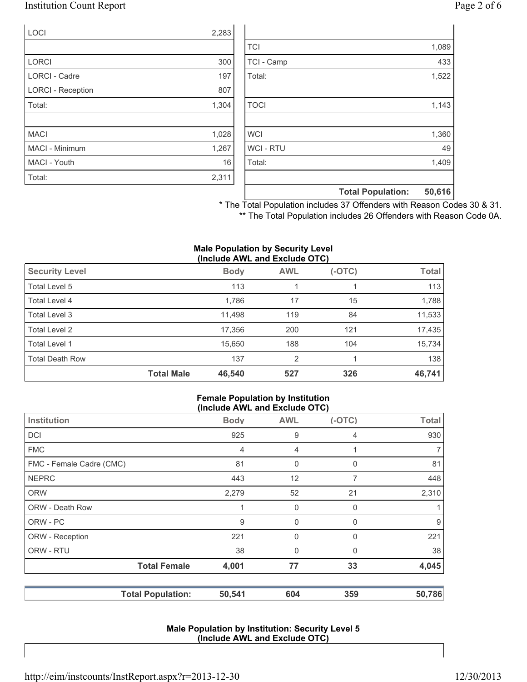### Institution Count Report Page 2 of 6

| LOCI                     | 2,283 |
|--------------------------|-------|
|                          |       |
| <b>LORCI</b>             | 300   |
| LORCI - Cadre            | 197   |
| <b>LORCI - Reception</b> | 807   |
| Total:                   | 1,304 |
|                          |       |
| <b>MACI</b>              | 1,028 |
| MACI - Minimum           | 1,267 |
| MACI - Youth             | 16    |
| Total:                   | 2,311 |

|                  | <b>Total Population:</b> | 50,616 |
|------------------|--------------------------|--------|
|                  |                          |        |
| Total:           |                          | 1,409  |
| <b>WCI - RTU</b> |                          | 49     |
| <b>WCI</b>       |                          | 1,360  |
|                  |                          |        |
| <b>TOCI</b>      |                          | 1,143  |
|                  |                          |        |
| Total:           |                          | 1,522  |
| TCI - Camp       |                          | 433    |
| <b>TCI</b>       |                          | 1,089  |

\* The Total Population includes 37 Offenders with Reason Codes 30 & 31. \*\* The Total Population includes 26 Offenders with Reason Code 0A.

#### **Male Population by Security Level (Include AWL and Exclude OTC)**

| <b>Security Level</b>  |                   | <b>Body</b> | <b>AWL</b>     | $(-OTC)$ | <b>Total</b> |
|------------------------|-------------------|-------------|----------------|----------|--------------|
| Total Level 5          |                   | 113         |                |          | 113          |
| Total Level 4          |                   | 1,786       | 17             | 15       | 1,788        |
| Total Level 3          |                   | 11,498      | 119            | 84       | 11,533       |
| Total Level 2          |                   | 17,356      | 200            | 121      | 17,435       |
| Total Level 1          |                   | 15,650      | 188            | 104      | 15,734       |
| <b>Total Death Row</b> |                   | 137         | $\overline{2}$ |          | 138          |
|                        | <b>Total Male</b> | 46,540      | 527            | 326      | 46,741       |

#### **Female Population by Institution (Include AWL and Exclude OTC)**

|                          | $(1101440)$ and $2101440$ and $0.9$ |                |          |                |
|--------------------------|-------------------------------------|----------------|----------|----------------|
| Institution              | <b>Body</b>                         | <b>AWL</b>     | $(-OTC)$ | <b>Total</b>   |
| <b>DCI</b>               | 925                                 | 9              | 4        | 930            |
| <b>FMC</b>               | 4                                   | $\overline{4}$ |          | $\overline{7}$ |
| FMC - Female Cadre (CMC) | 81                                  | 0              | 0        | 81             |
| <b>NEPRC</b>             | 443                                 | 12             | 7        | 448            |
| <b>ORW</b>               | 2,279                               | 52             | 21       | 2,310          |
| <b>ORW - Death Row</b>   |                                     | 0              | 0        | 1              |
| ORW - PC                 | 9                                   | 0              | 0        | 9              |
| ORW - Reception          | 221                                 | 0              | 0        | 221            |
| ORW - RTU                | 38                                  | 0              | 0        | 38             |
| <b>Total Female</b>      | 4,001                               | 77             | 33       | 4,045          |
| <b>Total Population:</b> | 50,541                              | 604            | 359      | 50,786         |

#### **Male Population by Institution: Security Level 5 (Include AWL and Exclude OTC)**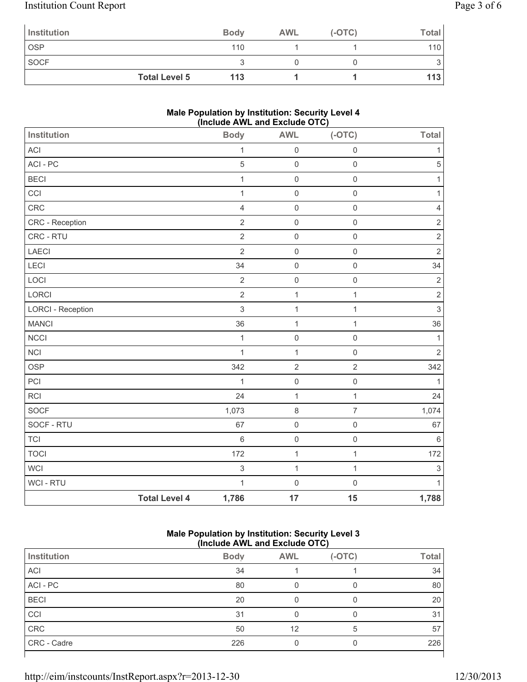# Institution Count Report Page 3 of 6

| Institution          | <b>Body</b> | <b>AWL</b> | $(-OTC)$ | <b>Total</b>     |
|----------------------|-------------|------------|----------|------------------|
| <b>OSP</b>           | 110         |            |          | 110 <sub>l</sub> |
| <b>SOCF</b>          |             |            |          |                  |
| <b>Total Level 5</b> | 113         |            |          | 113              |

### **Male Population by Institution: Security Level 4 (Include AWL and Exclude OTC)**

|                          |                      | (1)            |                     |                     |                           |
|--------------------------|----------------------|----------------|---------------------|---------------------|---------------------------|
| Institution              |                      | <b>Body</b>    | <b>AWL</b>          | $(-OTC)$            | <b>Total</b>              |
| <b>ACI</b>               |                      | $\mathbf 1$    | $\mathsf{O}\xspace$ | $\mathsf{O}\xspace$ | 1                         |
| ACI - PC                 |                      | $\sqrt{5}$     | $\mathsf{O}\xspace$ | $\mathsf{O}\xspace$ | $\sqrt{5}$                |
| <b>BECI</b>              |                      | $\mathbf{1}$   | $\mathsf{O}\xspace$ | $\mathsf{O}\xspace$ | 1                         |
| CCI                      |                      | $\mathbf{1}$   | $\mathsf{O}\xspace$ | $\mathsf{O}\xspace$ | 1                         |
| CRC                      |                      | $\overline{4}$ | $\mathsf{O}\xspace$ | $\mathsf{O}\xspace$ | $\overline{4}$            |
| CRC - Reception          |                      | $\overline{2}$ | $\mathsf{O}\xspace$ | $\mathsf{O}\xspace$ | $\sqrt{2}$                |
| CRC - RTU                |                      | $\overline{2}$ | $\mathbf 0$         | $\mathsf{O}\xspace$ | $\overline{2}$            |
| LAECI                    |                      | $\overline{2}$ | $\mathsf{O}\xspace$ | $\mathsf{O}\xspace$ | $\sqrt{2}$                |
| LECI                     |                      | 34             | $\mathsf{O}\xspace$ | $\mathsf{O}\xspace$ | 34                        |
| LOCI                     |                      | $\sqrt{2}$     | $\mathsf{O}\xspace$ | $\mathsf{O}\xspace$ | $\mathbf 2$               |
| LORCI                    |                      | $\overline{2}$ | $\mathbf 1$         | $\mathbf{1}$        | $\sqrt{2}$                |
| <b>LORCI - Reception</b> |                      | $\mathsf 3$    | $\mathbf{1}$        | $\mathbf{1}$        | $\ensuremath{\mathsf{3}}$ |
| <b>MANCI</b>             |                      | 36             | $\mathbf{1}$        | 1                   | 36                        |
| <b>NCCI</b>              |                      | $\mathbf{1}$   | $\mathsf{O}\xspace$ | $\mathsf{O}\xspace$ | $\mathbf{1}$              |
| <b>NCI</b>               |                      | $\mathbf{1}$   | $\mathbf{1}$        | $\mathsf 0$         | $\sqrt{2}$                |
| <b>OSP</b>               |                      | 342            | $\overline{2}$      | $\overline{2}$      | 342                       |
| PCI                      |                      | $\mathbf{1}$   | $\mathsf{O}\xspace$ | $\mathsf{O}\xspace$ | $\mathbf{1}$              |
| <b>RCI</b>               |                      | 24             | $\mathbf{1}$        | 1                   | 24                        |
| SOCF                     |                      | 1,073          | $\,8\,$             | $\overline{7}$      | 1,074                     |
| SOCF - RTU               |                      | 67             | $\mathsf{O}\xspace$ | $\mathsf{O}\xspace$ | 67                        |
| <b>TCI</b>               |                      | $\,$ 6 $\,$    | $\mathsf{O}\xspace$ | $\mathsf{O}\xspace$ | $\,6\,$                   |
| <b>TOCI</b>              |                      | 172            | $\mathbf{1}$        | $\mathbf{1}$        | 172                       |
| <b>WCI</b>               |                      | $\sqrt{3}$     | $\mathbf{1}$        | $\mathbf{1}$        | $\sqrt{3}$                |
| WCI - RTU                |                      | $\mathbf{1}$   | $\mathsf{O}\xspace$ | $\mathsf{O}\xspace$ | 1                         |
|                          | <b>Total Level 4</b> | 1,786          | 17                  | 15                  | 1,788                     |

### **Male Population by Institution: Security Level 3 (Include AWL and Exclude OTC)**

|             | ,           |            |          |              |  |
|-------------|-------------|------------|----------|--------------|--|
| Institution | <b>Body</b> | <b>AWL</b> | $(-OTC)$ | <b>Total</b> |  |
| <b>ACI</b>  | 34          |            |          | 34           |  |
| ACI-PC      | 80          |            | 0        | 80           |  |
| <b>BECI</b> | 20          |            | 0        | 20           |  |
| CCI         | 31          |            |          | 31           |  |
| CRC         | 50          | 12         | 5        | 57           |  |
| CRC - Cadre | 226         |            | 0        | 226          |  |
|             |             |            |          |              |  |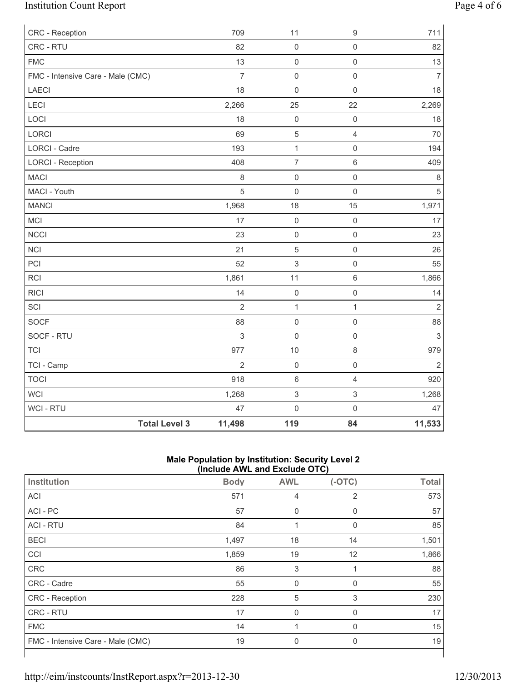# Institution Count Report Page 4 of 6

| CRC - Reception                   | 709            | 11                        | $\mathsf g$             | 711                       |
|-----------------------------------|----------------|---------------------------|-------------------------|---------------------------|
| CRC - RTU                         | 82             | $\mathsf{O}\xspace$       | $\mathsf{O}\xspace$     | 82                        |
| <b>FMC</b>                        | 13             | $\mathsf 0$               | $\mathsf 0$             | 13                        |
| FMC - Intensive Care - Male (CMC) | $\overline{7}$ | $\mathsf 0$               | $\mathsf{O}\xspace$     | $\overline{7}$            |
| <b>LAECI</b>                      | 18             | $\mathbf 0$               | $\mathsf{O}\xspace$     | 18                        |
| LECI                              | 2,266          | 25                        | 22                      | 2,269                     |
| LOCI                              | 18             | $\mathsf 0$               | $\mathsf 0$             | 18                        |
| LORCI                             | 69             | $\sqrt{5}$                | $\overline{\mathbf{4}}$ | 70                        |
| LORCI - Cadre                     | 193            | $\mathbf 1$               | $\mathsf{O}\xspace$     | 194                       |
| <b>LORCI - Reception</b>          | 408            | $\overline{\mathcal{I}}$  | $\,6\,$                 | 409                       |
| <b>MACI</b>                       | 8              | $\mathsf 0$               | $\mathsf{O}\xspace$     | $\,8\,$                   |
| MACI - Youth                      | 5              | $\mathsf 0$               | $\mathbf 0$             | 5                         |
| <b>MANCI</b>                      | 1,968          | 18                        | 15                      | 1,971                     |
| MCI                               | 17             | $\mathsf{O}\xspace$       | $\mathsf 0$             | 17                        |
| <b>NCCI</b>                       | 23             | $\mathsf 0$               | $\mathsf{O}\xspace$     | 23                        |
| <b>NCI</b>                        | 21             | $\sqrt{5}$                | $\mathsf{O}\xspace$     | 26                        |
| PCI                               | 52             | $\ensuremath{\mathsf{3}}$ | $\mathsf{O}\xspace$     | 55                        |
| <b>RCI</b>                        | 1,861          | 11                        | 6                       | 1,866                     |
| <b>RICI</b>                       | 14             | $\mathbf 0$               | $\mathsf 0$             | 14                        |
| SCI                               | $\overline{2}$ | $\mathbf{1}$              | $\mathbf{1}$            | $\overline{2}$            |
| <b>SOCF</b>                       | 88             | $\mathsf 0$               | $\mathsf 0$             | 88                        |
| SOCF - RTU                        | $\sqrt{3}$     | $\mathbf 0$               | $\mathsf{O}\xspace$     | $\ensuremath{\mathsf{3}}$ |
| <b>TCI</b>                        | 977            | 10                        | 8                       | 979                       |
| TCI - Camp                        | $\overline{2}$ | $\mathsf{O}\xspace$       | $\mathsf{O}\xspace$     | $\overline{2}$            |
| <b>TOCI</b>                       | 918            | $\,6\,$                   | $\overline{4}$          | 920                       |
| WCI                               | 1,268          | $\mathsf 3$               | $\mathfrak{S}$          | 1,268                     |
| <b>WCI-RTU</b>                    | 47             | $\mathbf 0$               | $\mathsf{O}\xspace$     | 47                        |
| <b>Total Level 3</b>              | 11,498         | 119                       | 84                      | 11,533                    |

### **Male Population by Institution: Security Level 2 (Include AWL and Exclude OTC)**

|                                   | $\mu$ $\mu$ $\mu$ $\mu$ $\sigma$ $\mu$ $\sigma$ $\sigma$ $\mu$ $\sigma$ $\sigma$ $\sigma$ $\sigma$ $\sigma$ |            |                |              |
|-----------------------------------|-------------------------------------------------------------------------------------------------------------|------------|----------------|--------------|
| Institution                       | <b>Body</b>                                                                                                 | <b>AWL</b> | $(-OTC)$       | <b>Total</b> |
| <b>ACI</b>                        | 571                                                                                                         | 4          | $\overline{2}$ | 573          |
| ACI - PC                          | 57                                                                                                          | 0          | 0              | 57           |
| <b>ACI - RTU</b>                  | 84                                                                                                          | 1          | 0              | 85           |
| <b>BECI</b>                       | 1,497                                                                                                       | 18         | 14             | 1,501        |
| CCI                               | 1,859                                                                                                       | 19         | 12             | 1,866        |
| CRC                               | 86                                                                                                          | 3          |                | 88           |
| CRC - Cadre                       | 55                                                                                                          | 0          | 0              | 55           |
| CRC - Reception                   | 228                                                                                                         | 5          | 3              | 230          |
| <b>CRC - RTU</b>                  | 17                                                                                                          | 0          | 0              | 17           |
| <b>FMC</b>                        | 14                                                                                                          |            | 0              | 15           |
| FMC - Intensive Care - Male (CMC) | 19                                                                                                          | 0          | 0              | 19           |
|                                   |                                                                                                             |            |                |              |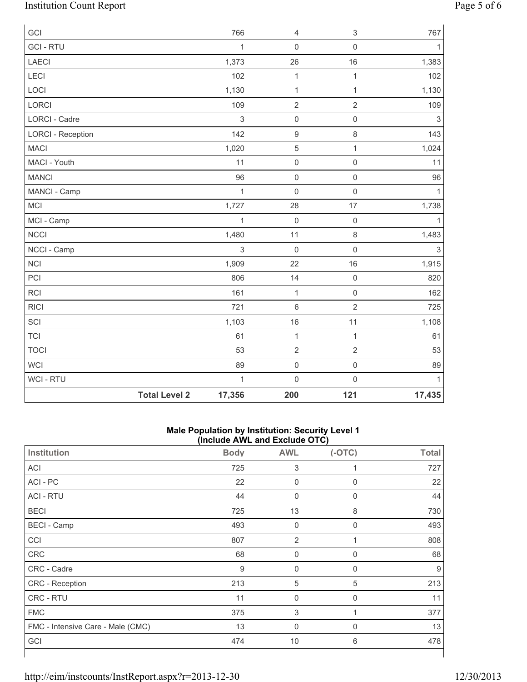# Institution Count Report Page 5 of 6

| GCI                      |                      | 766          | 4                   | $\sqrt{3}$          | 767          |
|--------------------------|----------------------|--------------|---------------------|---------------------|--------------|
| <b>GCI-RTU</b>           |                      | 1            | $\mathsf{O}\xspace$ | $\mathbf 0$         | 1            |
| LAECI                    |                      | 1,373        | 26                  | 16                  | 1,383        |
| LECI                     |                      | 102          | $\mathbf{1}$        | $\mathbf{1}$        | 102          |
| LOCI                     |                      | 1,130        | $\mathbf{1}$        | $\mathbf{1}$        | 1,130        |
| LORCI                    |                      | 109          | $\overline{2}$      | $\overline{2}$      | 109          |
| LORCI - Cadre            |                      | $\mathbf{3}$ | $\mathsf{O}\xspace$ | $\mathbf 0$         | 3            |
| <b>LORCI - Reception</b> |                      | 142          | 9                   | 8                   | 143          |
| <b>MACI</b>              |                      | 1,020        | 5                   | $\mathbf{1}$        | 1,024        |
| MACI - Youth             |                      | 11           | $\mathsf{O}\xspace$ | $\mathsf{O}\xspace$ | 11           |
| <b>MANCI</b>             |                      | 96           | $\mathsf{O}\xspace$ | $\mathbf 0$         | 96           |
| MANCI - Camp             |                      | $\mathbf{1}$ | 0                   | $\mathbf 0$         | 1            |
| MCI                      |                      | 1,727        | 28                  | 17                  | 1,738        |
| MCI - Camp               |                      | $\mathbf{1}$ | $\mathsf 0$         | $\mathbf 0$         | 1            |
| <b>NCCI</b>              |                      | 1,480        | 11                  | $\,8\,$             | 1,483        |
| NCCI - Camp              |                      | $\mathbf{3}$ | $\mathsf 0$         | $\mathsf{O}\xspace$ | 3            |
| <b>NCI</b>               |                      | 1,909        | 22                  | 16                  | 1,915        |
| PCI                      |                      | 806          | 14                  | $\mathbf 0$         | 820          |
| <b>RCI</b>               |                      | 161          | $\mathbf{1}$        | $\mathsf{O}\xspace$ | 162          |
| <b>RICI</b>              |                      | 721          | 6                   | $\overline{2}$      | 725          |
| SCI                      |                      | 1,103        | 16                  | 11                  | 1,108        |
| <b>TCI</b>               |                      | 61           | $\mathbf 1$         | $\mathbf{1}$        | 61           |
| <b>TOCI</b>              |                      | 53           | $\overline{2}$      | $\sqrt{2}$          | 53           |
| <b>WCI</b>               |                      | 89           | $\mathsf 0$         | $\mathsf{O}\xspace$ | 89           |
| <b>WCI-RTU</b>           |                      | $\mathbf{1}$ | $\mathsf{O}\xspace$ | $\mathsf{O}\xspace$ | $\mathbf{1}$ |
|                          | <b>Total Level 2</b> | 17,356       | 200                 | 121                 | 17,435       |

#### **Male Population by Institution: Security Level 1 (Include AWL and Exclude OTC)**

| $($ $\overline{a}$ $\overline{b}$ $\overline{c}$ $\overline{c}$ $\overline{c}$ $\overline{c}$ $\overline{c}$ $\overline{c}$ $\overline{c}$ $\overline{c}$ $\overline{c}$ $\overline{c}$ |             |                  |          |              |  |  |
|-----------------------------------------------------------------------------------------------------------------------------------------------------------------------------------------|-------------|------------------|----------|--------------|--|--|
| Institution                                                                                                                                                                             | <b>Body</b> | <b>AWL</b>       | $(-OTC)$ | <b>Total</b> |  |  |
| ACI                                                                                                                                                                                     | 725         | 3                | 1        | 727          |  |  |
| ACI - PC                                                                                                                                                                                | 22          | $\mathbf 0$      | 0        | 22           |  |  |
| <b>ACI - RTU</b>                                                                                                                                                                        | 44          | $\mathbf 0$      | 0        | 44           |  |  |
| <b>BECI</b>                                                                                                                                                                             | 725         | 13               | 8        | 730          |  |  |
| <b>BECI</b> - Camp                                                                                                                                                                      | 493         | $\boldsymbol{0}$ | 0        | 493          |  |  |
| CCI                                                                                                                                                                                     | 807         | $\overline{2}$   | 1        | 808          |  |  |
| CRC                                                                                                                                                                                     | 68          | $\boldsymbol{0}$ | 0        | 68           |  |  |
| CRC - Cadre                                                                                                                                                                             | 9           | $\boldsymbol{0}$ | 0        | 9            |  |  |
| CRC - Reception                                                                                                                                                                         | 213         | 5                | 5        | 213          |  |  |
| CRC - RTU                                                                                                                                                                               | 11          | $\mathbf 0$      | 0        | 11           |  |  |
| <b>FMC</b>                                                                                                                                                                              | 375         | 3                |          | 377          |  |  |
| FMC - Intensive Care - Male (CMC)                                                                                                                                                       | 13          | $\mathbf 0$      | 0        | 13           |  |  |
| GCI                                                                                                                                                                                     | 474         | 10               | 6        | 478          |  |  |
|                                                                                                                                                                                         |             |                  |          |              |  |  |